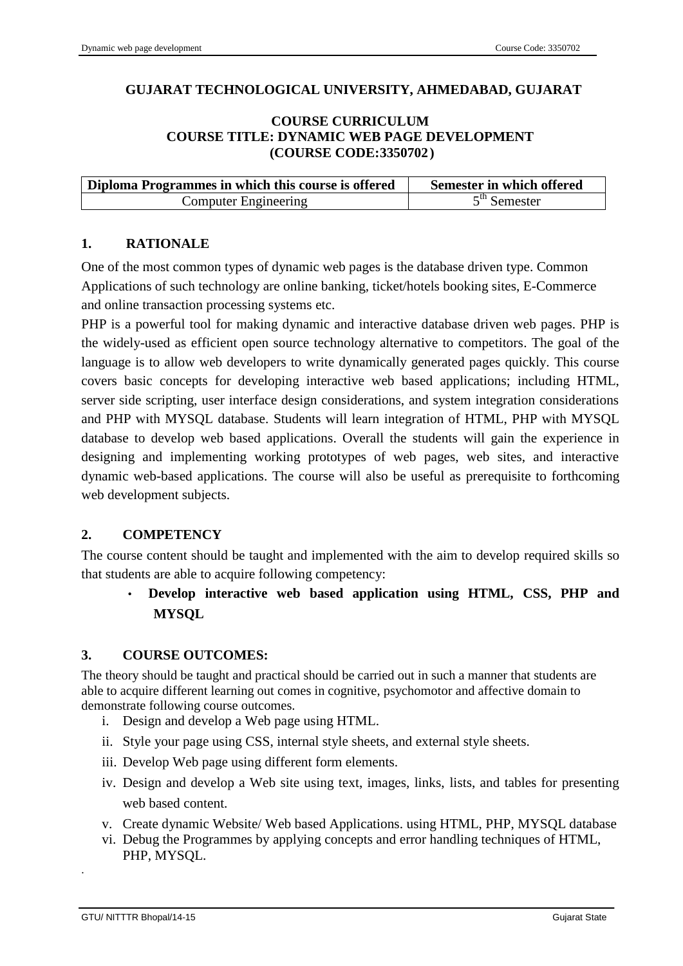### **GUJARAT TECHNOLOGICAL UNIVERSITY, AHMEDABAD, GUJARAT**

#### **COURSE CURRICULUM COURSE TITLE: DYNAMIC WEB PAGE DEVELOPMENT (COURSE CODE:3350702)**

| Diploma Programmes in which this course is offered | Semester in which offered |
|----------------------------------------------------|---------------------------|
| Computer Engineering                               | $5th$ Semester            |

### **1. RATIONALE**

One of the most common types of dynamic web pages is the database driven type. Common Applications of such technology are online banking, ticket/hotels booking sites, E-Commerce and online transaction processing systems etc.

PHP is a powerful tool for making dynamic and interactive database driven web pages. PHP is the widely-used as efficient open source technology alternative to competitors. The goal of the language is to allow web developers to write dynamically generated pages quickly. This course covers basic concepts for developing interactive web based applications; including HTML, server side scripting, user interface design considerations, and system integration considerations and PHP with MYSQL database. Students will learn integration of HTML, PHP with MYSQL database to develop web based applications. Overall the students will gain the experience in designing and implementing working prototypes of web pages, web sites, and interactive dynamic web-based applications. The course will also be useful as prerequisite to forthcoming web development subjects.

### **2. COMPETENCY**

The course content should be taught and implemented with the aim to develop required skills so that students are able to acquire following competency:

# • **Develop interactive web based application using HTML, CSS, PHP and MYSQL**

#### **3. COURSE OUTCOMES:**

The theory should be taught and practical should be carried out in such a manner that students are able to acquire different learning out comes in cognitive, psychomotor and affective domain to demonstrate following course outcomes.

- i. Design and develop a Web page using HTML.
- ii. Style your page using CSS, internal style sheets, and external style sheets.
- iii. Develop Web page using different form elements.
- iv. Design and develop a Web site using text, images, links, lists, and tables for presenting web based content.
- v. Create dynamic Website/ Web based Applications. using HTML, PHP, MYSQL database
- vi. Debug the Programmes by applying concepts and error handling techniques of HTML, PHP, MYSQL.

.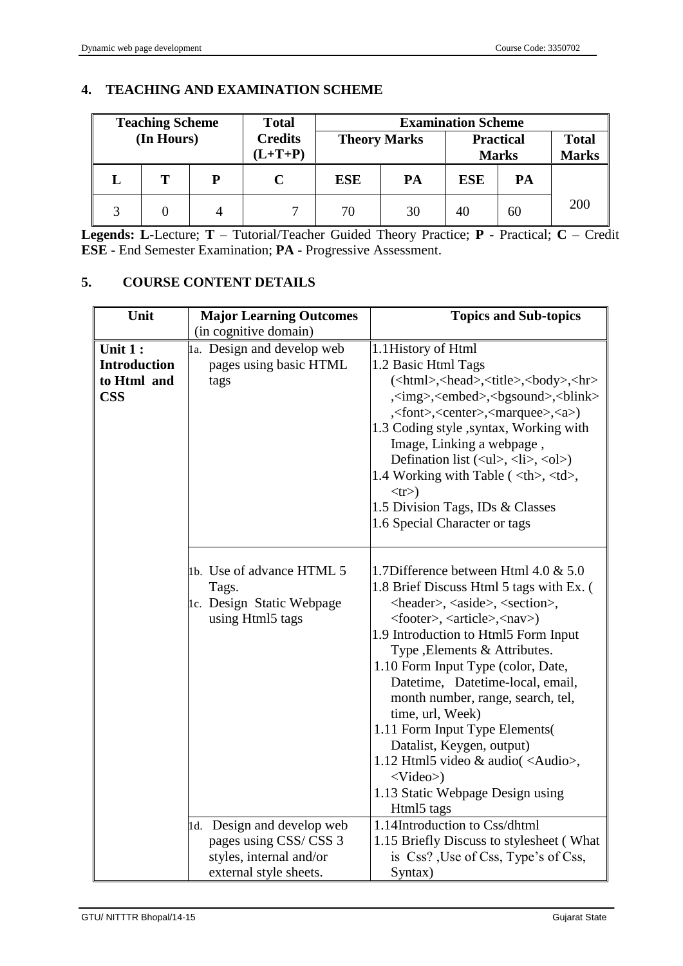### **4. TEACHING AND EXAMINATION SCHEME**

| <b>Teaching Scheme</b> |            | <b>Total</b> | <b>Examination Scheme</b> |                     |    |              |    |     |                  |              |
|------------------------|------------|--------------|---------------------------|---------------------|----|--------------|----|-----|------------------|--------------|
|                        | (In Hours) |              | <b>Credits</b>            | <b>Theory Marks</b> |    |              |    |     | <b>Practical</b> | <b>Total</b> |
|                        |            |              | $(L+T+P)$                 |                     |    | <b>Marks</b> |    |     | <b>Marks</b>     |              |
|                        |            | D            |                           | <b>ESE</b>          | PA | <b>ESE</b>   | PA |     |                  |              |
|                        |            |              |                           | 70                  | 30 | 40           | 60 | 200 |                  |              |

**Legends: L**-Lecture; **T** – Tutorial/Teacher Guided Theory Practice; **P** - Practical; **C** – Credit **ESE** - End Semester Examination; **PA** - Progressive Assessment.

### **5. COURSE CONTENT DETAILS**

| Unit                      | <b>Major Learning Outcomes</b>                                                                           | <b>Topics and Sub-topics</b>                                                                                                                                                                                                                                                                                                                                                                                                                                                                                                                                                                                                      |                                                                                                                                   |                                                                                        |
|---------------------------|----------------------------------------------------------------------------------------------------------|-----------------------------------------------------------------------------------------------------------------------------------------------------------------------------------------------------------------------------------------------------------------------------------------------------------------------------------------------------------------------------------------------------------------------------------------------------------------------------------------------------------------------------------------------------------------------------------------------------------------------------------|-----------------------------------------------------------------------------------------------------------------------------------|----------------------------------------------------------------------------------------|
|                           | (in cognitive domain)                                                                                    |                                                                                                                                                                                                                                                                                                                                                                                                                                                                                                                                                                                                                                   |                                                                                                                                   |                                                                                        |
| Unit 1:                   | 1a. Design and develop web                                                                               | 1.1 History of Html                                                                                                                                                                                                                                                                                                                                                                                                                                                                                                                                                                                                               |                                                                                                                                   |                                                                                        |
| <b>Introduction</b>       | pages using basic HTML                                                                                   | 1.2 Basic Html Tags                                                                                                                                                                                                                                                                                                                                                                                                                                                                                                                                                                                                               |                                                                                                                                   |                                                                                        |
| to Html and<br><b>CSS</b> | tags                                                                                                     | ( <html>,<head>,<title>,<br/>&gt;body&gt;,<hr/><br/><img/>,<embed/>,<br/>bgsound&gt;,<br>blink&gt;<br/>,<font>,<center>,<marquee>,<a>)<br>1.3 Coding style , syntax, Working with<br/>Image, Linking a webpage,<br/>Defination list <math>(\langle ul \rangle, \langle li \rangle, \langle ol \rangle)</math><br/>1.4 Working with Table (<th>, <td>,<br/><math>&lt;</math>tr<math>&gt;</math>)<br/>1.5 Division Tags, IDs &amp; Classes<br/>1.6 Special Character or tags</td></th></br></a></marquee></center></font></br></title></head></html>                                                                                | , <td>,<br/><math>&lt;</math>tr<math>&gt;</math>)<br/>1.5 Division Tags, IDs &amp; Classes<br/>1.6 Special Character or tags</td> | ,<br>$<$ tr $>$ )<br>1.5 Division Tags, IDs & Classes<br>1.6 Special Character or tags |
|                           | 1b. Use of advance HTML 5<br>Tags.<br>1c. Design Static Webpage<br>using Html5 tags                      | 1.7Difference between Html 4.0 & 5.0<br>1.8 Brief Discuss Html 5 tags with Ex. (<br><header>, <aside>, <section>,<br/><footer>, <article>,<nav>)<br/>1.9 Introduction to Html5 Form Input<br/>Type , Elements &amp; Attributes.<br/>1.10 Form Input Type (color, Date,<br/>Datetime, Datetime-local, email,<br/>month number, range, search, tel,<br/>time, url, Week)<br/>1.11 Form Input Type Elements(<br/>Datalist, Keygen, output)<br/>1.12 Html5 video &amp; audio(<audio>,<br/><math>&lt;</math>Video&gt;)<br/>1.13 Static Webpage Design using<br/>Html5 tags</audio></nav></article></footer></section></aside></header> |                                                                                                                                   |                                                                                        |
|                           | 1d. Design and develop web<br>pages using CSS/CSS 3<br>styles, internal and/or<br>external style sheets. | 1.14Introduction to Css/dhtml<br>1.15 Briefly Discuss to stylesheet (What<br>is Css? Use of Css, Type's of Css,<br>Syntax)                                                                                                                                                                                                                                                                                                                                                                                                                                                                                                        |                                                                                                                                   |                                                                                        |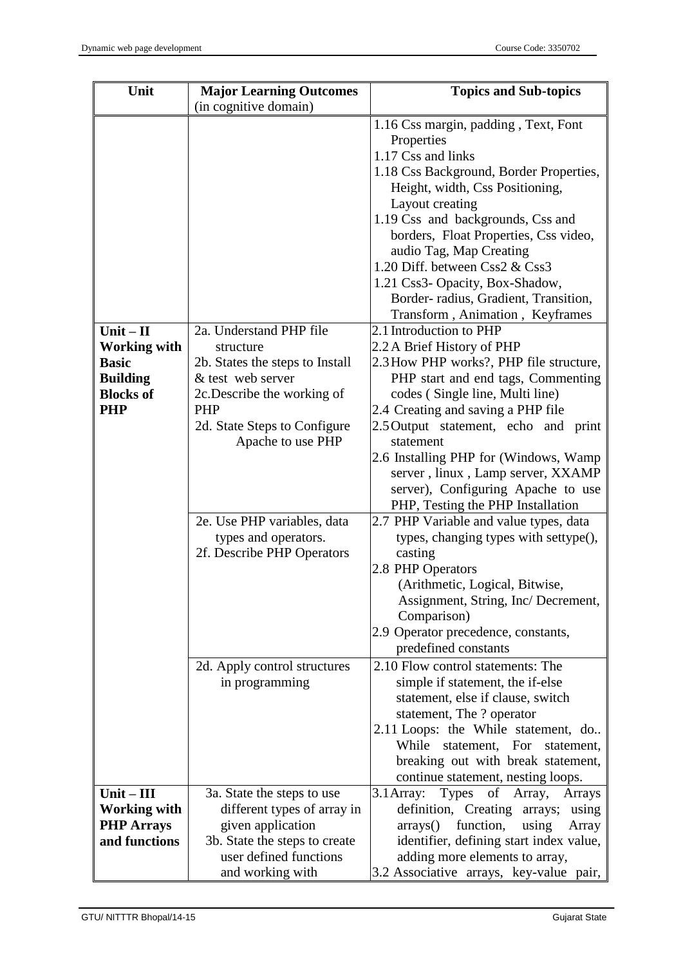| Unit                               | <b>Major Learning Outcomes</b>                          | <b>Topics and Sub-topics</b>                                              |  |  |
|------------------------------------|---------------------------------------------------------|---------------------------------------------------------------------------|--|--|
|                                    | (in cognitive domain)                                   |                                                                           |  |  |
|                                    |                                                         | 1.16 Css margin, padding, Text, Font                                      |  |  |
|                                    |                                                         | Properties                                                                |  |  |
|                                    |                                                         | 1.17 Css and links                                                        |  |  |
|                                    |                                                         | 1.18 Css Background, Border Properties,                                   |  |  |
|                                    |                                                         | Height, width, Css Positioning,                                           |  |  |
|                                    |                                                         | Layout creating                                                           |  |  |
|                                    |                                                         | 1.19 Css and backgrounds, Css and                                         |  |  |
|                                    |                                                         | borders, Float Properties, Css video,                                     |  |  |
|                                    |                                                         | audio Tag, Map Creating                                                   |  |  |
|                                    |                                                         | 1.20 Diff. between Css2 & Css3                                            |  |  |
|                                    |                                                         | 1.21 Css3- Opacity, Box-Shadow,                                           |  |  |
|                                    |                                                         | Border-radius, Gradient, Transition,                                      |  |  |
|                                    |                                                         | Transform, Animation, Keyframes                                           |  |  |
| $Unit - II$                        | 2a. Understand PHP file                                 | 2.1 Introduction to PHP                                                   |  |  |
| <b>Working with</b>                | structure                                               | 2.2 A Brief History of PHP                                                |  |  |
| <b>Basic</b>                       | 2b. States the steps to Install                         | 2.3 How PHP works?, PHP file structure,                                   |  |  |
| <b>Building</b>                    | & test web server                                       | PHP start and end tags, Commenting                                        |  |  |
| <b>Blocks of</b>                   | 2c. Describe the working of                             | codes (Single line, Multi line)                                           |  |  |
| <b>PHP</b>                         | <b>PHP</b>                                              | 2.4 Creating and saving a PHP file                                        |  |  |
|                                    | 2d. State Steps to Configure                            | 2.5 Output statement, echo and print<br>statement                         |  |  |
|                                    | Apache to use PHP                                       | 2.6 Installing PHP for (Windows, Wamp                                     |  |  |
|                                    |                                                         | server, linux, Lamp server, XXAMP                                         |  |  |
|                                    |                                                         | server), Configuring Apache to use                                        |  |  |
|                                    |                                                         | PHP, Testing the PHP Installation                                         |  |  |
|                                    | 2e. Use PHP variables, data                             | 2.7 PHP Variable and value types, data                                    |  |  |
|                                    | types and operators.                                    | types, changing types with settype(),                                     |  |  |
|                                    | 2f. Describe PHP Operators                              | casting                                                                   |  |  |
|                                    |                                                         | 2.8 PHP Operators                                                         |  |  |
|                                    |                                                         | (Arithmetic, Logical, Bitwise,                                            |  |  |
|                                    |                                                         | Assignment, String, Inc/ Decrement,                                       |  |  |
|                                    |                                                         | Comparison)                                                               |  |  |
|                                    |                                                         | 2.9 Operator precedence, constants,                                       |  |  |
|                                    |                                                         | predefined constants                                                      |  |  |
|                                    | 2d. Apply control structures                            | 2.10 Flow control statements: The                                         |  |  |
|                                    | in programming                                          | simple if statement, the if-else                                          |  |  |
|                                    |                                                         | statement, else if clause, switch                                         |  |  |
|                                    |                                                         | statement, The ? operator                                                 |  |  |
|                                    |                                                         | 2.11 Loops: the While statement, do                                       |  |  |
|                                    |                                                         | While<br>statement, For<br>statement,                                     |  |  |
|                                    |                                                         | breaking out with break statement,                                        |  |  |
|                                    |                                                         | continue statement, nesting loops.                                        |  |  |
| $Unit - III$                       | 3a. State the steps to use                              | $3.1$ Array:<br><b>Types</b><br>of Array,<br>Arrays                       |  |  |
| <b>Working with</b>                | different types of array in                             | definition, Creating arrays;<br>using                                     |  |  |
| <b>PHP Arrays</b><br>and functions | given application                                       | function,<br>using<br>arrays()<br>Array                                   |  |  |
|                                    | 3b. State the steps to create<br>user defined functions | identifier, defining start index value,<br>adding more elements to array, |  |  |
|                                    | and working with                                        | 3.2 Associative arrays, key-value pair,                                   |  |  |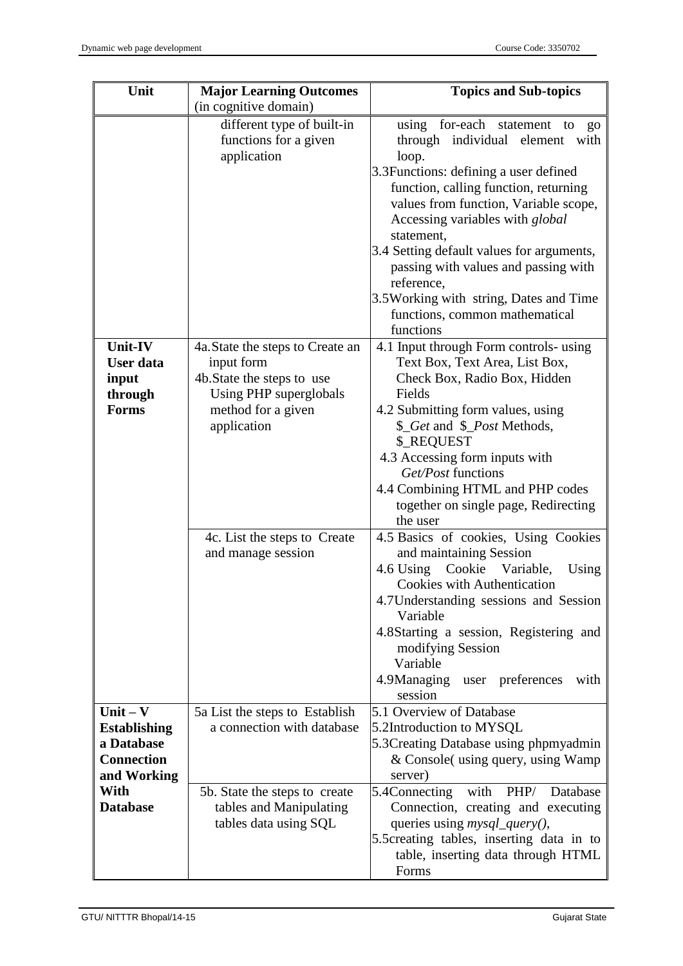| Unit                                                            | <b>Major Learning Outcomes</b>                                                                                                              | <b>Topics and Sub-topics</b>                                                                                                                                                                                                                                                                                                                                                                                                                  |
|-----------------------------------------------------------------|---------------------------------------------------------------------------------------------------------------------------------------------|-----------------------------------------------------------------------------------------------------------------------------------------------------------------------------------------------------------------------------------------------------------------------------------------------------------------------------------------------------------------------------------------------------------------------------------------------|
|                                                                 | (in cognitive domain)                                                                                                                       |                                                                                                                                                                                                                                                                                                                                                                                                                                               |
|                                                                 | different type of built-in<br>functions for a given<br>application                                                                          | using for-each statement to<br>go<br>through individual element<br>with<br>loop.<br>3.3 Functions: defining a user defined<br>function, calling function, returning<br>values from function, Variable scope,<br>Accessing variables with global<br>statement,<br>3.4 Setting default values for arguments,<br>passing with values and passing with<br>reference,<br>3.5 Working with string, Dates and Time<br>functions, common mathematical |
|                                                                 |                                                                                                                                             | functions                                                                                                                                                                                                                                                                                                                                                                                                                                     |
| Unit-IV<br><b>User</b> data<br>input<br>through<br><b>Forms</b> | 4a. State the steps to Create an<br>input form<br>4b. State the steps to use<br>Using PHP superglobals<br>method for a given<br>application | 4.1 Input through Form controls- using<br>Text Box, Text Area, List Box,<br>Check Box, Radio Box, Hidden<br>Fields<br>4.2 Submitting form values, using<br>\$_Get and \$_Post Methods,<br><b>\$_REQUEST</b><br>4.3 Accessing form inputs with<br>Get/Post functions<br>4.4 Combining HTML and PHP codes<br>together on single page, Redirecting<br>the user                                                                                   |
|                                                                 | 4c. List the steps to Create<br>and manage session                                                                                          | 4.5 Basics of cookies, Using Cookies<br>and maintaining Session<br>Cookie Variable,<br>4.6 Using<br>Using<br><b>Cookies with Authentication</b><br>4.7 Understanding sessions and Session<br>Variable<br>4.8 Starting a session, Registering and<br>modifying Session<br>Variable<br>4.9Managing<br>preferences<br>user<br>with<br>session                                                                                                    |
| Unit $-$ V                                                      | 5a List the steps to Establish                                                                                                              | 5.1 Overview of Database                                                                                                                                                                                                                                                                                                                                                                                                                      |
| <b>Establishing</b><br>a Database                               | a connection with database                                                                                                                  | 5.2Introduction to MYSQL<br>5.3 Creating Database using phpmyadmin                                                                                                                                                                                                                                                                                                                                                                            |
| <b>Connection</b>                                               |                                                                                                                                             | & Console (using query, using Wamp                                                                                                                                                                                                                                                                                                                                                                                                            |
| and Working<br>With                                             |                                                                                                                                             | server)<br>with<br>PHP/<br>Database                                                                                                                                                                                                                                                                                                                                                                                                           |
| <b>Database</b>                                                 | 5b. State the steps to create<br>tables and Manipulating<br>tables data using SQL                                                           | 5.4Connecting<br>Connection, creating and executing<br>queries using <i>mysql_query()</i> ,<br>5.5 creating tables, inserting data in to                                                                                                                                                                                                                                                                                                      |
|                                                                 |                                                                                                                                             | table, inserting data through HTML<br>Forms                                                                                                                                                                                                                                                                                                                                                                                                   |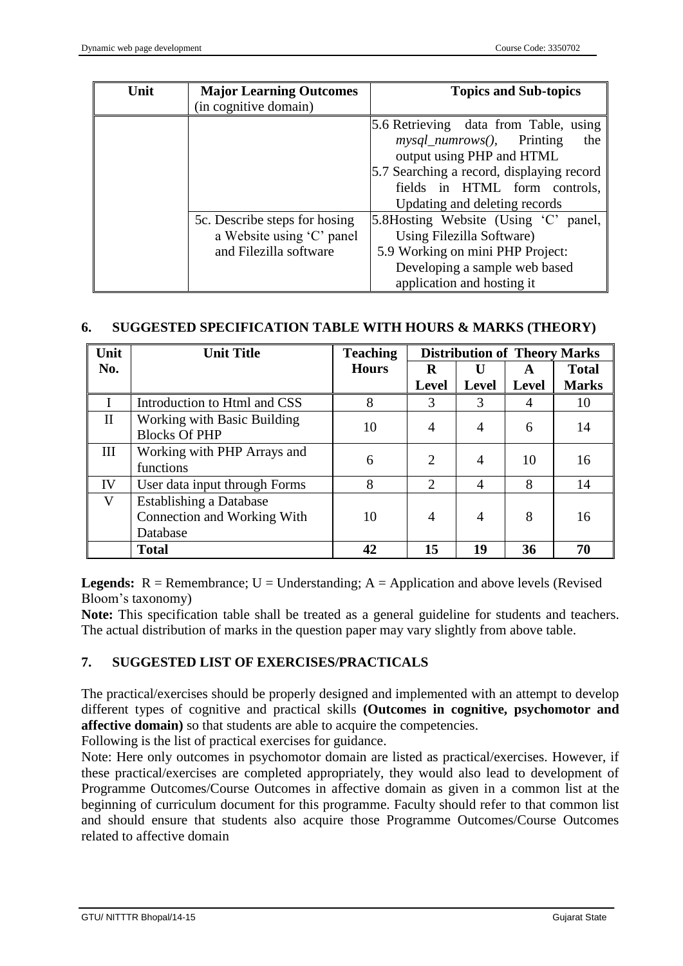| Unit | <b>Major Learning Outcomes</b><br>(in cognitive domain)                              | <b>Topics and Sub-topics</b>                                                                                                                                                                                             |
|------|--------------------------------------------------------------------------------------|--------------------------------------------------------------------------------------------------------------------------------------------------------------------------------------------------------------------------|
|      |                                                                                      | 5.6 Retrieving data from Table, using<br>the<br>$mysql\_numrows(),$ Printing<br>output using PHP and HTML<br>5.7 Searching a record, displaying record<br>fields in HTML form controls,<br>Updating and deleting records |
|      | 5c. Describe steps for hosing<br>a Website using 'C' panel<br>and Filezilla software | 5.8Hosting Website (Using 'C' panel,<br>Using Filezilla Software)<br>5.9 Working on mini PHP Project:<br>Developing a sample web based<br>application and hosting it                                                     |

### **6. SUGGESTED SPECIFICATION TABLE WITH HOURS & MARKS (THEORY)**

| Unit         | <b>Unit Title</b>                                                         | <b>Teaching</b> |              | <b>Distribution of Theory Marks</b> |              |              |
|--------------|---------------------------------------------------------------------------|-----------------|--------------|-------------------------------------|--------------|--------------|
| No.          |                                                                           | <b>Hours</b>    | R            |                                     | A            | <b>Total</b> |
|              |                                                                           |                 | <b>Level</b> | <b>Level</b>                        | <b>Level</b> | <b>Marks</b> |
|              | Introduction to Html and CSS                                              | 8               | 3            | 3                                   | 4            | 10           |
| $\mathbf{I}$ | <b>Working with Basic Building</b><br><b>Blocks Of PHP</b>                | 10              | 4            | 4                                   | 6            | 14           |
| III          | Working with PHP Arrays and<br>functions                                  | 6               | 2            | 4                                   | 10           | 16           |
| IV           | User data input through Forms                                             | 8               | 2            | $\overline{4}$                      | 8            | 14           |
| V            | <b>Establishing a Database</b><br>Connection and Working With<br>Database | 10              | 4            | 4                                   | 8            | 16           |
|              | <b>Total</b>                                                              | 42              | 15           | 19                                  | 36           | 70           |

**Legends:**  $R =$  Remembrance;  $U =$  Understanding;  $A =$  Application and above levels (Revised Bloom's taxonomy)

**Note:** This specification table shall be treated as a general guideline for students and teachers. The actual distribution of marks in the question paper may vary slightly from above table.

### **7. SUGGESTED LIST OF EXERCISES/PRACTICALS**

The practical/exercises should be properly designed and implemented with an attempt to develop different types of cognitive and practical skills **(Outcomes in cognitive, psychomotor and affective domain)** so that students are able to acquire the competencies.

Following is the list of practical exercises for guidance.

Note: Here only outcomes in psychomotor domain are listed as practical/exercises. However, if these practical/exercises are completed appropriately, they would also lead to development of Programme Outcomes/Course Outcomes in affective domain as given in a common list at the beginning of curriculum document for this programme. Faculty should refer to that common list and should ensure that students also acquire those Programme Outcomes/Course Outcomes related to affective domain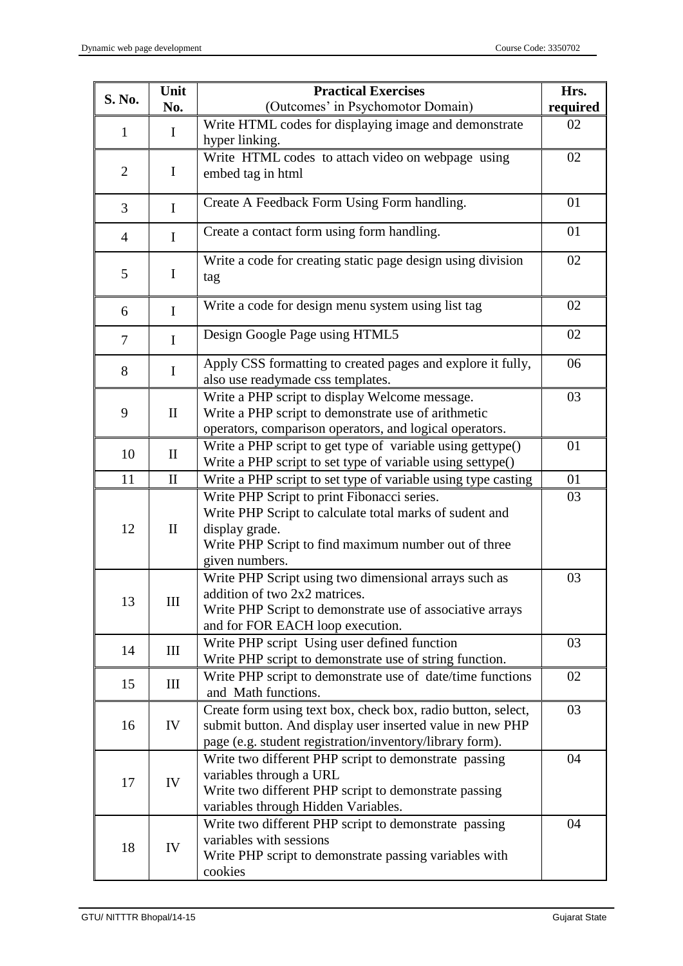|                | Unit<br><b>Practical Exercises</b><br>S. No.                                                                                                                                                                       |                                                                                                                                                                                       | Hrs. |
|----------------|--------------------------------------------------------------------------------------------------------------------------------------------------------------------------------------------------------------------|---------------------------------------------------------------------------------------------------------------------------------------------------------------------------------------|------|
| No.            |                                                                                                                                                                                                                    | (Outcomes' in Psychomotor Domain)                                                                                                                                                     |      |
| $\mathbf{1}$   | $\bf{I}$                                                                                                                                                                                                           | Write HTML codes for displaying image and demonstrate<br>hyper linking.                                                                                                               | 02   |
| $\overline{2}$ | $\mathbf I$                                                                                                                                                                                                        | Write HTML codes to attach video on webpage using<br>embed tag in html                                                                                                                | 02   |
| 3              | $\mathbf I$                                                                                                                                                                                                        | Create A Feedback Form Using Form handling.                                                                                                                                           | 01   |
| $\overline{4}$ | $\mathbf I$                                                                                                                                                                                                        | Create a contact form using form handling.                                                                                                                                            | 01   |
| 5              | $\bf{I}$                                                                                                                                                                                                           | Write a code for creating static page design using division<br>tag                                                                                                                    | 02   |
| 6              | $\mathbf I$                                                                                                                                                                                                        | Write a code for design menu system using list tag                                                                                                                                    | 02   |
| $\overline{7}$ | $\mathbf I$                                                                                                                                                                                                        | Design Google Page using HTML5                                                                                                                                                        | 02   |
| 8              | $\mathbf I$                                                                                                                                                                                                        | Apply CSS formatting to created pages and explore it fully,<br>also use readymade css templates.                                                                                      | 06   |
| 9              | Write a PHP script to display Welcome message.<br>Write a PHP script to demonstrate use of arithmetic<br>$\mathbf{I}$<br>operators, comparison operators, and logical operators.                                   |                                                                                                                                                                                       | 03   |
| 10             | $\mathbf{I}$                                                                                                                                                                                                       | Write a PHP script to get type of variable using gettype()<br>Write a PHP script to set type of variable using settype()                                                              | 01   |
| 11             | $\mathbf{I}$                                                                                                                                                                                                       | Write a PHP script to set type of variable using type casting                                                                                                                         | 01   |
| 12             | Write PHP Script to print Fibonacci series.<br>Write PHP Script to calculate total marks of sudent and<br>display grade.<br>$\mathbf{I}$<br>Write PHP Script to find maximum number out of three<br>given numbers. |                                                                                                                                                                                       | 03   |
| 13             | Write PHP Script using two dimensional arrays such as<br>addition of two 2x2 matrices.<br>III<br>Write PHP Script to demonstrate use of associative arrays<br>and for FOR EACH loop execution.                     |                                                                                                                                                                                       | 03   |
| 14             | III                                                                                                                                                                                                                | Write PHP script Using user defined function<br>Write PHP script to demonstrate use of string function.                                                                               | 03   |
| 15             | Ш                                                                                                                                                                                                                  | Write PHP script to demonstrate use of date/time functions<br>and Math functions.                                                                                                     | 02   |
| 16             | IV                                                                                                                                                                                                                 | Create form using text box, check box, radio button, select,<br>submit button. And display user inserted value in new PHP<br>page (e.g. student registration/inventory/library form). |      |
| 17             | Write two different PHP script to demonstrate passing<br>variables through a URL<br>IV<br>Write two different PHP script to demonstrate passing<br>variables through Hidden Variables.                             |                                                                                                                                                                                       | 04   |
| 18             | Write two different PHP script to demonstrate passing<br>variables with sessions<br>IV<br>Write PHP script to demonstrate passing variables with<br>cookies                                                        |                                                                                                                                                                                       | 04   |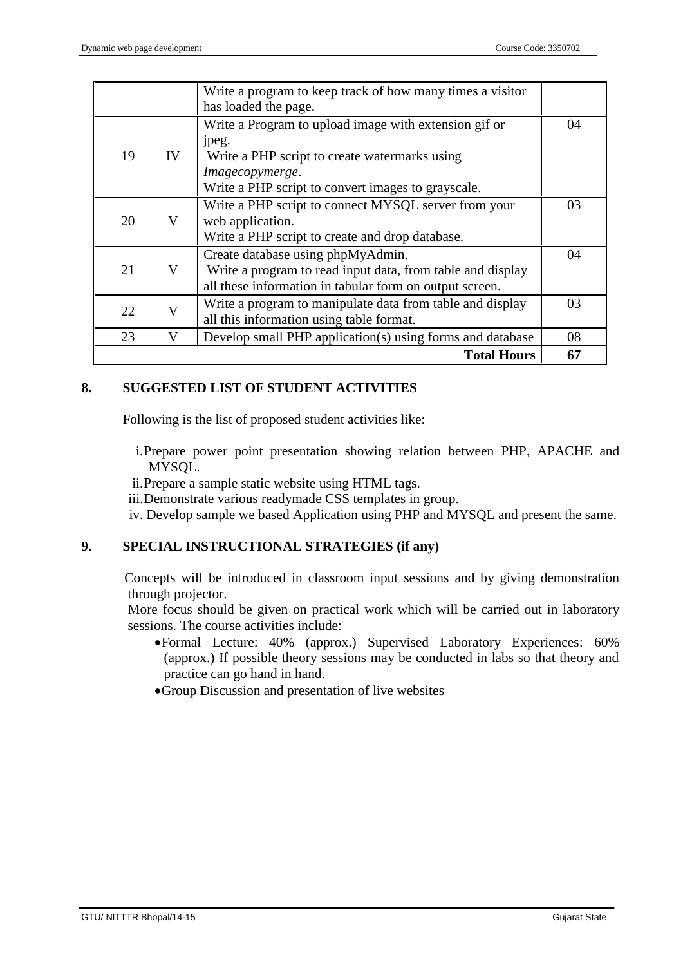|    |    | <b>Total Hours</b>                                                                                                                                                                                               | 67 |
|----|----|------------------------------------------------------------------------------------------------------------------------------------------------------------------------------------------------------------------|----|
| 23 | V  | Develop small PHP application(s) using forms and database                                                                                                                                                        | 08 |
| 22 | V  | Write a program to manipulate data from table and display<br>all this information using table format.                                                                                                            | 03 |
| 21 | V  | Create database using phpMyAdmin.<br>Write a program to read input data, from table and display<br>all these information in tabular form on output screen.                                                       | 04 |
| 20 | V  | Write a PHP script to connect MYSQL server from your<br>web application.<br>Write a PHP script to create and drop database.                                                                                      | 03 |
| 19 | IV | has loaded the page.<br>Write a Program to upload image with extension gif or<br>jpeg.<br>Write a PHP script to create watermarks using<br>Imagecopymerge.<br>Write a PHP script to convert images to grayscale. | 04 |
|    |    | Write a program to keep track of how many times a visitor                                                                                                                                                        |    |

## **8. SUGGESTED LIST OF STUDENT ACTIVITIES**

Following is the list of proposed student activities like:

- i.Prepare power point presentation showing relation between PHP, APACHE and MYSQL.
- ii.Prepare a sample static website using HTML tags.
- iii.Demonstrate various readymade CSS templates in group.

iv. Develop sample we based Application using PHP and MYSQL and present the same.

### **9. SPECIAL INSTRUCTIONAL STRATEGIES (if any)**

Concepts will be introduced in classroom input sessions and by giving demonstration through projector.

More focus should be given on practical work which will be carried out in laboratory sessions. The course activities include:

- Formal Lecture: 40% (approx.) Supervised Laboratory Experiences: 60% (approx.) If possible theory sessions may be conducted in labs so that theory and practice can go hand in hand.
- Group Discussion and presentation of live websites